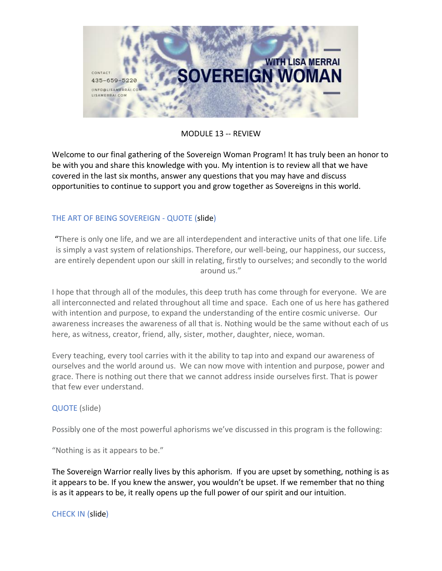

# MODULE 13 -- REVIEW

Welcome to our final gathering of the Sovereign Woman Program! It has truly been an honor to be with you and share this knowledge with you. My intention is to review all that we have covered in the last six months, answer any questions that you may have and discuss opportunities to continue to support you and grow together as Sovereigns in this world.

# THE ART OF BEING SOVEREIGN - QUOTE (slide)

"There is only one life, and we are all interdependent and interactive units of that one life. Life is simply a vast system of relationships. Therefore, our well-being, our happiness, our success, are entirely dependent upon our skill in relating, firstly to ourselves; and secondly to the world around us."

I hope that through all of the modules, this deep truth has come through for everyone. We are all interconnected and related throughout all time and space. Each one of us here has gathered with intention and purpose, to expand the understanding of the entire cosmic universe. Our awareness increases the awareness of all that is. Nothing would be the same without each of us here, as witness, creator, friend, ally, sister, mother, daughter, niece, woman.

Every teaching, every tool carries with it the ability to tap into and expand our awareness of ourselves and the world around us. We can now move with intention and purpose, power and grace. There is nothing out there that we cannot address inside ourselves first. That is power that few ever understand.

## QUOTE (slide)

Possibly one of the most powerful aphorisms we've discussed in this program is the following:

"Nothing is as it appears to be."

The Sovereign Warrior really lives by this aphorism. If you are upset by something, nothing is as it appears to be. If you knew the answer, you wouldn't be upset. If we remember that no thing is as it appears to be, it really opens up the full power of our spirit and our intuition.

CHECK IN (slide)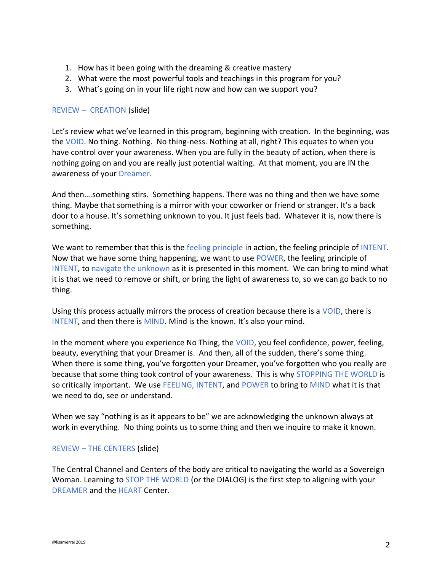- 1. How has it been going with the dreaming & creative mastery
- 2. What were the most powerful tools and teachings in this program for you?
- 3. What's going on in your life right now and how can we support you?

#### REVIEW – CREATION (slide)

Let's review what we've learned in this program, beginning with creation. In the beginning, was the VOID. No thing. Nothing. No thing-ness. Nothing at all, right? This equates to when you have control over your awareness. When you are fully in the beauty of action, when there is nothing going on and you are really just potential waiting. At that moment, you are IN the awareness of your Dreamer.

And then….something stirs. Something happens. There was no thing and then we have some thing. Maybe that something is a mirror with your coworker or friend or stranger. It's a back door to a house. It's something unknown to you. It just feels bad. Whatever it is, now there is something.

We want to remember that this is the feeling principle in action, the feeling principle of INTENT. Now that we have some thing happening, we want to use POWER, the feeling principle of INTENT, to navigate the unknown as it is presented in this moment. We can bring to mind what it is that we need to remove or shift, or bring the light of awareness to, so we can go back to no thing.

Using this process actually mirrors the process of creation because there is a VOID, there is INTENT, and then there is MIND. Mind is the known. It's also your mind.

In the moment where you experience No Thing, the VOID, you feel confidence, power, feeling, beauty, everything that your Dreamer is. And then, all of the sudden, there's some thing. When there is some thing, you've forgotten your Dreamer, you've forgotten who you really are because that some thing took control of your awareness. This is why STOPPING THE WORLD is so critically important. We use FEELING, INTENT, and POWER to bring to MIND what it is that we need to do, see or understand.

When we say "nothing is as it appears to be" we are acknowledging the unknown always at work in everything. No thing points us to some thing and then we inquire to make it known.

#### REVIEW – THE CENTERS (slide)

The Central Channel and Centers of the body are critical to navigating the world as a Sovereign Woman. Learning to STOP THE WORLD (or the DIALOG) is the first step to aligning with your DREAMER and the HEART Center.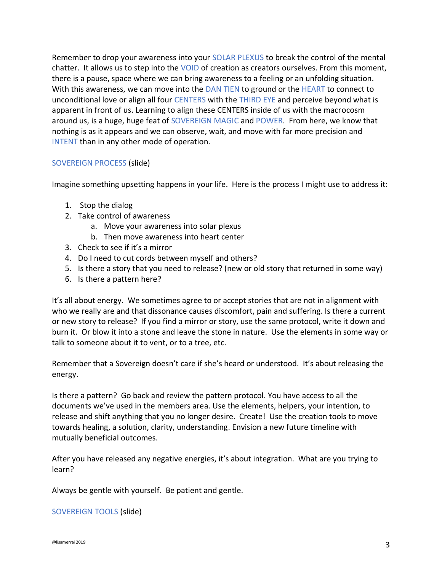Remember to drop your awareness into your SOLAR PLEXUS to break the control of the mental chatter. It allows us to step into the VOID of creation as creators ourselves. From this moment, there is a pause, space where we can bring awareness to a feeling or an unfolding situation. With this awareness, we can move into the DAN TIEN to ground or the HEART to connect to unconditional love or align all four CENTERS with the THIRD EYE and perceive beyond what is apparent in front of us. Learning to align these CENTERS inside of us with the macrocosm around us, is a huge, huge feat of SOVEREIGN MAGIC and POWER. From here, we know that nothing is as it appears and we can observe, wait, and move with far more precision and INTENT than in any other mode of operation.

## SOVEREIGN PROCESS (slide)

Imagine something upsetting happens in your life. Here is the process I might use to address it:

- 1. Stop the dialog
- 2. Take control of awareness
	- a. Move your awareness into solar plexus
	- b. Then move awareness into heart center
- 3. Check to see if it's a mirror
- 4. Do I need to cut cords between myself and others?
- 5. Is there a story that you need to release? (new or old story that returned in some way)
- 6. Is there a pattern here?

It's all about energy. We sometimes agree to or accept stories that are not in alignment with who we really are and that dissonance causes discomfort, pain and suffering. Is there a current or new story to release? If you find a mirror or story, use the same protocol, write it down and burn it. Or blow it into a stone and leave the stone in nature. Use the elements in some way or talk to someone about it to vent, or to a tree, etc.

Remember that a Sovereign doesn't care if she's heard or understood. It's about releasing the energy.

Is there a pattern? Go back and review the pattern protocol. You have access to all the documents we've used in the members area. Use the elements, helpers, your intention, to release and shift anything that you no longer desire. Create! Use the creation tools to move towards healing, a solution, clarity, understanding. Envision a new future timeline with mutually beneficial outcomes.

After you have released any negative energies, it's about integration. What are you trying to learn?

Always be gentle with yourself. Be patient and gentle.

#### SOVEREIGN TOOLS (slide)